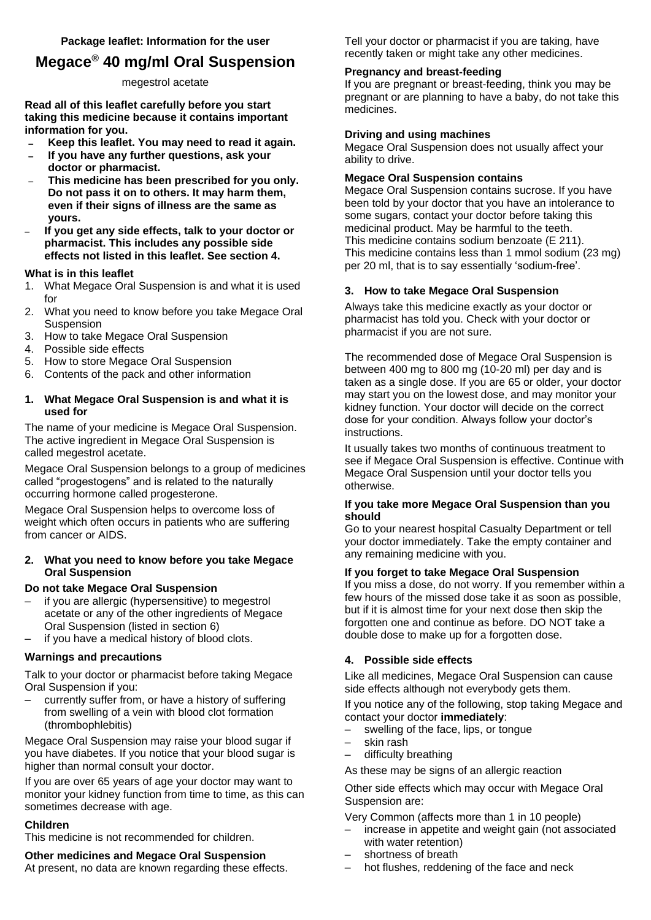# **Megace® 40 mg/ml Oral Suspension**

## megestrol acetate

**Read all of this leaflet carefully before you start taking this medicine because it contains important information for you.**

- **Keep this leaflet. You may need to read it again.**
- **If you have any further questions, ask your doctor or pharmacist.**
- **This medicine has been prescribed for you only. Do not pass it on to others. It may harm them, even if their signs of illness are the same as yours.**
- **If you get any side effects, talk to your doctor or pharmacist. This includes any possible side effects not listed in this leaflet. See section 4.**

## **What is in this leaflet**

- 1. What Megace Oral Suspension is and what it is used for
- 2. What you need to know before you take Megace Oral Suspension
- 3. How to take Megace Oral Suspension
- 4. Possible side effects
- 5. How to store Megace Oral Suspension
- 6. Contents of the pack and other information

## **1. What Megace Oral Suspension is and what it is used for**

The name of your medicine is Megace Oral Suspension. The active ingredient in Megace Oral Suspension is called megestrol acetate.

Megace Oral Suspension belongs to a group of medicines called "progestogens" and is related to the naturally occurring hormone called progesterone.

Megace Oral Suspension helps to overcome loss of weight which often occurs in patients who are suffering from cancer or AIDS.

## **2. What you need to know before you take Megace Oral Suspension**

# **Do not take Megace Oral Suspension**

- if you are allergic (hypersensitive) to megestrol acetate or any of the other ingredients of Megace Oral Suspension (listed in section 6)
- if you have a medical history of blood clots.

## **Warnings and precautions**

Talk to your doctor or pharmacist before taking Megace Oral Suspension if you:

– currently suffer from, or have a history of suffering from swelling of a vein with blood clot formation (thrombophlebitis)

Megace Oral Suspension may raise your blood sugar if you have diabetes. If you notice that your blood sugar is higher than normal consult your doctor.

If you are over 65 years of age your doctor may want to monitor your kidney function from time to time, as this can sometimes decrease with age.

## **Children**

This medicine is not recommended for children.

**Other medicines and Megace Oral Suspension**

At present, no data are known regarding these effects.

Tell your doctor or pharmacist if you are taking, have recently taken or might take any other medicines.

## **Pregnancy and breast-feeding**

If you are pregnant or breast-feeding, think you may be pregnant or are planning to have a baby, do not take this medicines.

## **Driving and using machines**

Megace Oral Suspension does not usually affect your ability to drive.

## **Megace Oral Suspension contains**

Megace Oral Suspension contains sucrose. If you have been told by your doctor that you have an intolerance to some sugars, contact your doctor before taking this medicinal product. May be harmful to the teeth. This medicine contains sodium benzoate (E 211). This medicine contains less than 1 mmol sodium (23 mg) per 20 ml, that is to say essentially 'sodium-free'.

## **3. How to take Megace Oral Suspension**

Always take this medicine exactly as your doctor or pharmacist has told you. Check with your doctor or pharmacist if you are not sure.

The recommended dose of Megace Oral Suspension is between 400 mg to 800 mg (10-20 ml) per day and is taken as a single dose. If you are 65 or older, your doctor may start you on the lowest dose, and may monitor your kidney function. Your doctor will decide on the correct dose for your condition. Always follow your doctor's instructions.

It usually takes two months of continuous treatment to see if Megace Oral Suspension is effective. Continue with Megace Oral Suspension until your doctor tells you otherwise.

#### **If you take more Megace Oral Suspension than you should**

Go to your nearest hospital Casualty Department or tell your doctor immediately. Take the empty container and any remaining medicine with you.

## **If you forget to take Megace Oral Suspension**

If you miss a dose, do not worry. If you remember within a few hours of the missed dose take it as soon as possible, but if it is almost time for your next dose then skip the forgotten one and continue as before. DO NOT take a double dose to make up for a forgotten dose.

## **4. Possible side effects**

Like all medicines, Megace Oral Suspension can cause side effects although not everybody gets them.

If you notice any of the following, stop taking Megace and contact your doctor **immediately**:

- swelling of the face, lips, or tongue
- skin rash
- difficulty breathing
- As these may be signs of an allergic reaction

Other side effects which may occur with Megace Oral Suspension are:

Very Common (affects more than 1 in 10 people)

- increase in appetite and weight gain (not associated with water retention)
- shortness of breath
- hot flushes, reddening of the face and neck